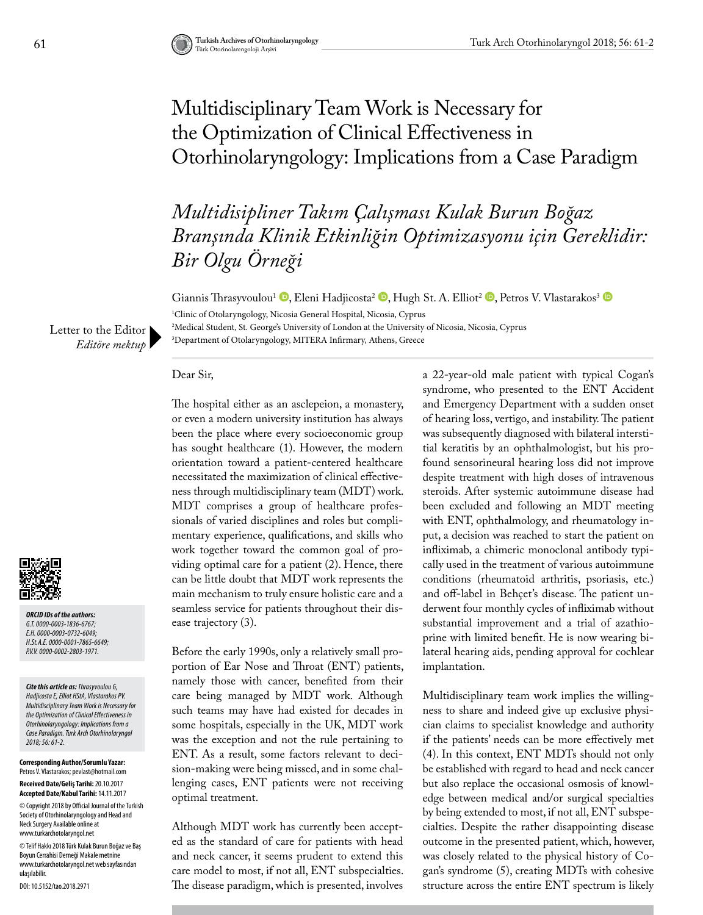## Multidisciplinary Team Work is Necessary for the Optimization of Clinical Effectiveness in Otorhinolaryngology: Implications from a Case Paradigm

*Multidisipliner Takım Çalışması Kulak Burun Boğaz Branşında Klinik Etkinliğin Optimizasyonu için Gereklidir: Bir Olgu Örneği* 

Giannis Thrasyvoulou<sup>1</sup> <sup>®</sup>[,](https://orcid.org/0000-0001-7865-6649) Eleni Hadjicosta<sup>2</sup> <sup>®</sup>[,](https://orcid.org/0000-0003-0732-6049) Hugh St. A. Elliot<sup>2</sup> ®, Petros V. Vlastarakos<sup>3</sup> ®

1 Clinic of Otolaryngology, Nicosia General Hospital, Nicosia, Cyprus 2 Medical Student, St. George's University of London at the University of Nicosia, Nicosia, Cyprus

3 Department of Otolaryngology, MITERA Infirmary, Athens, Greece

Letter to the Editor *Editöre mektup*

Dear Sir,

*ORCID IDs of the authors: G.T. 0000-0003-1836-6767; E.H. 0000-0003-0732-6049; H.St.A.E. 0000-0001-7865-6649; P.V.V. 0000-0002-2803-1971.*

*Cite this article as: Thrasyvoulou G, Hadjicosta E, Elliot HStA, Vlastarakos PV. Multidisciplinary Team Work is Necessary for the Optimization of Clinical Effectiveness in Otorhinolaryngology: Implications from a Case Paradigm. Turk Arch Otorhinolaryngol 2018; 56: 61-2.*

**Corresponding Author/Sorumlu Yazar:**  Petros V. Vlastarakos; pevlast@hotmail.com **Received Date/Geliş Tarihi:** 20.10.2017 **Accepted Date/Kabul Tarihi:** 14.11.2017

© Copyright 2018 by Official Journal of the Turkish Society of Otorhinolaryngology and Head and Neck Surgery Available online at www.turkarchotolaryngol.net

© Telif Hakkı 2018 Türk Kulak Burun Boğaz ve Baş Boyun Cerrahisi Derneği Makale metnine www.turkarchotolaryngol.net web sayfasından ulaşılabilir.

DOI: 10.5152/tao.2018.2971

The hospital either as an asclepeion, a monastery, or even a modern university institution has always been the place where every socioeconomic group has sought healthcare (1). However, the modern orientation toward a patient-centered healthcare necessitated the maximization of clinical effectiveness through multidisciplinary team (MDT) work. MDT comprises a group of healthcare professionals of varied disciplines and roles but complimentary experience, qualifications, and skills who work together toward the common goal of providing optimal care for a patient (2). Hence, there can be little doubt that MDT work represents the main mechanism to truly ensure holistic care and a seamless service for patients throughout their disease trajectory (3).

Before the early 1990s, only a relatively small proportion of Ear Nose and Throat (ENT) patients, namely those with cancer, benefited from their care being managed by MDT work. Although such teams may have had existed for decades in some hospitals, especially in the UK, MDT work was the exception and not the rule pertaining to ENT. As a result, some factors relevant to decision-making were being missed, and in some challenging cases, ENT patients were not receiving optimal treatment.

Although MDT work has currently been accepted as the standard of care for patients with head and neck cancer, it seems prudent to extend this care model to most, if not all, ENT subspecialties. The disease paradigm, which is presented, involves a 22-year-old male patient with typical Cogan's syndrome, who presented to the ENT Accident and Emergency Department with a sudden onset of hearing loss, vertigo, and instability. The patient was subsequently diagnosed with bilateral interstitial keratitis by an ophthalmologist, but his profound sensorineural hearing loss did not improve despite treatment with high doses of intravenous steroids. After systemic autoimmune disease had been excluded and following an MDT meeting with ENT, ophthalmology, and rheumatology input, a decision was reached to start the patient on infliximab, a chimeric monoclonal antibody typically used in the treatment of various autoimmune conditions (rheumatoid arthritis, psoriasis, etc.) and off-label in Behçet's disease. The patient underwent four monthly cycles of infliximab without substantial improvement and a trial of azathioprine with limited benefit. He is now wearing bilateral hearing aids, pending approval for cochlear implantation.

Multidisciplinary team work implies the willingness to share and indeed give up exclusive physician claims to specialist knowledge and authority if the patients' needs can be more effectively met (4). In this context, ENT MDTs should not only be established with regard to head and neck cancer but also replace the occasional osmosis of knowledge between medical and/or surgical specialties by being extended to most, if not all, ENT subspecialties. Despite the rather disappointing disease outcome in the presented patient, which, however, was closely related to the physical history of Cogan's syndrome (5), creating MDTs with cohesive structure across the entire ENT spectrum is likely